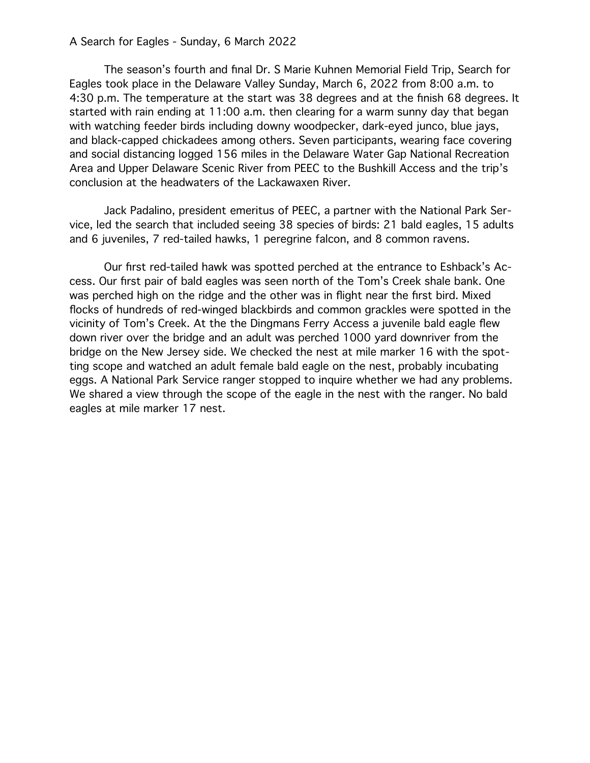## A Search for Eagles - Sunday, 6 March 2022

The season's fourth and final Dr. S Marie Kuhnen Memorial Field Trip, Search for Eagles took place in the Delaware Valley Sunday, March 6, 2022 from 8:00 a.m. to 4:30 p.m. The temperature at the start was 38 degrees and at the finish 68 degrees. It started with rain ending at 11:00 a.m. then clearing for a warm sunny day that began with watching feeder birds including downy woodpecker, dark-eyed junco, blue jays, and black-capped chickadees among others. Seven participants, wearing face covering and social distancing logged 156 miles in the Delaware Water Gap National Recreation Area and Upper Delaware Scenic River from PEEC to the Bushkill Access and the trip's conclusion at the headwaters of the Lackawaxen River.

Jack Padalino, president emeritus of PEEC, a partner with the National Park Service, led the search that included seeing 38 species of birds: 21 bald eagles, 15 adults and 6 juveniles, 7 red-tailed hawks, 1 peregrine falcon, and 8 common ravens.

Our first red-tailed hawk was spotted perched at the entrance to Eshback's Access. Our first pair of bald eagles was seen north of the Tom's Creek shale bank. One was perched high on the ridge and the other was in flight near the first bird. Mixed flocks of hundreds of red-winged blackbirds and common grackles were spotted in the vicinity of Tom's Creek. At the the Dingmans Ferry Access a juvenile bald eagle flew down river over the bridge and an adult was perched 1000 yard downriver from the bridge on the New Jersey side. We checked the nest at mile marker 16 with the spotting scope and watched an adult female bald eagle on the nest, probably incubating eggs. A National Park Service ranger stopped to inquire whether we had any problems. We shared a view through the scope of the eagle in the nest with the ranger. No bald eagles at mile marker 17 nest.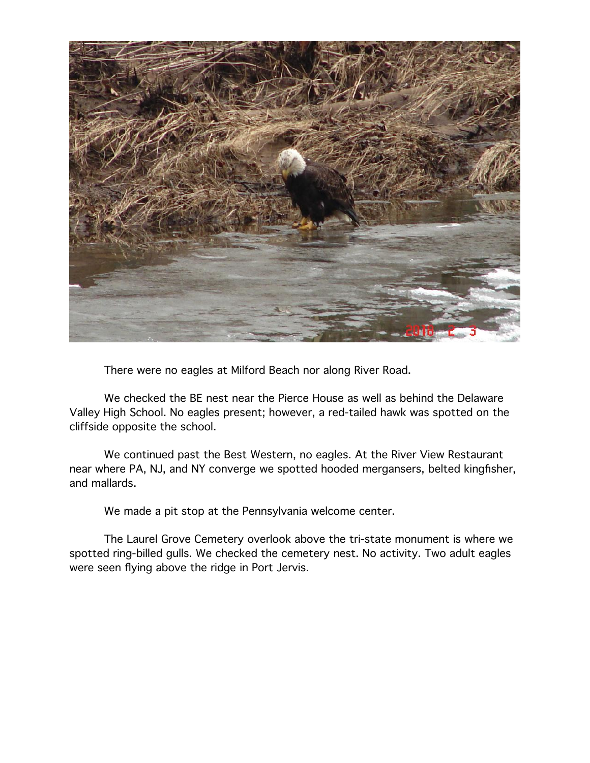

There were no eagles at Milford Beach nor along River Road.

We checked the BE nest near the Pierce House as well as behind the Delaware Valley High School. No eagles present; however, a red-tailed hawk was spotted on the cliffside opposite the school.

We continued past the Best Western, no eagles. At the River View Restaurant near where PA, NJ, and NY converge we spotted hooded mergansers, belted kingfisher, and mallards.

We made a pit stop at the Pennsylvania welcome center.

The Laurel Grove Cemetery overlook above the tri-state monument is where we spotted ring-billed gulls. We checked the cemetery nest. No activity. Two adult eagles were seen flying above the ridge in Port Jervis.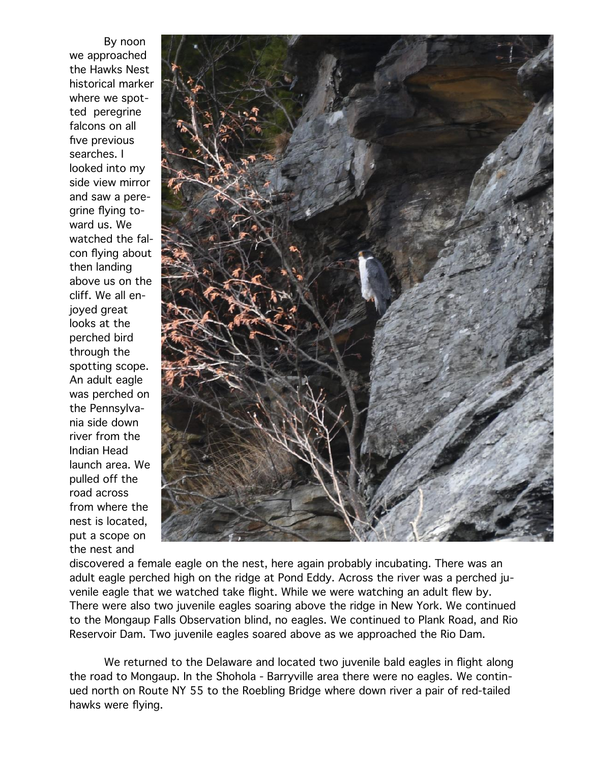By noon we approached the Hawks Nest historical marker where we spotted peregrine falcons on all five previous searches. I looked into my side view mirror and saw a peregrine flying toward us. We watched the falcon flying about then landing above us on the cliff. We all enjoyed great looks at the perched bird through the spotting scope. An adult eagle was perched on the Pennsylvania side down river from the Indian Head launch area. We pulled off the road across from where the nest is located, put a scope on the nest and



discovered a female eagle on the nest, here again probably incubating. There was an adult eagle perched high on the ridge at Pond Eddy. Across the river was a perched juvenile eagle that we watched take flight. While we were watching an adult flew by. There were also two juvenile eagles soaring above the ridge in New York. We continued to the Mongaup Falls Observation blind, no eagles. We continued to Plank Road, and Rio Reservoir Dam. Two juvenile eagles soared above as we approached the Rio Dam.

We returned to the Delaware and located two juvenile bald eagles in flight along the road to Mongaup. In the Shohola - Barryville area there were no eagles. We continued north on Route NY 55 to the Roebling Bridge where down river a pair of red-tailed hawks were flying.